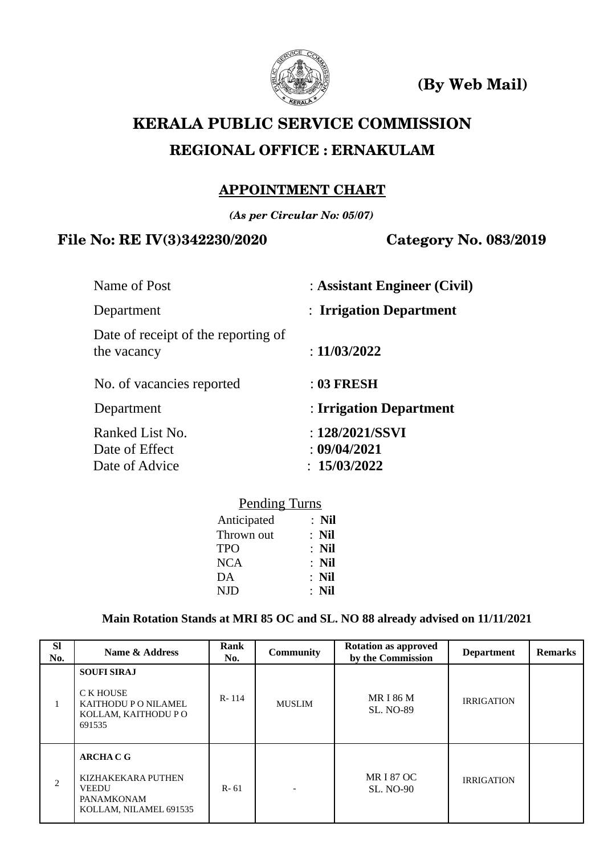

**(By Web Mail)** 

# **KERALA PUBLIC SERVICE COMMISSION REGIONAL OFFICE : ERNAKULAM**

# **APPOINTMENT CHART**

*(As per Circular No: 05/07)*

# **File No: RE IV(3)342230/2020 Category No. 083/2019**

| Name of Post                                       | : Assistant Engineer (Civil)    |
|----------------------------------------------------|---------------------------------|
| Department                                         | : Irrigation Department         |
| Date of receipt of the reporting of<br>the vacancy | : $11/03/2022$                  |
| No. of vacancies reported                          | $: 03$ FRESH                    |
| Department                                         | : Irrigation Department         |
| Ranked List No.<br>Date of Effect                  | : 128/2021/SSVI<br>: 09/04/2021 |
| Date of Advice                                     | : 15/03/2022                    |

### Pending Turns Anticipated : **Nil**

| Allucipated | . імп   |
|-------------|---------|
| Thrown out  | $:$ Nil |
| <b>TPO</b>  | $:$ Nil |
| <b>NCA</b>  | : Nil   |
| DA          | $:$ Nil |
| <b>NJD</b>  | $:$ Nil |
|             |         |

# **Main Rotation Stands at MRI 85 OC and SL. NO 88 already advised on 11/11/2021**

| <b>SI</b><br>No. | Name & Address                                                                                  | Rank<br>No. | <b>Community</b> | <b>Rotation as approved</b><br>by the Commission | <b>Department</b> | <b>Remarks</b> |
|------------------|-------------------------------------------------------------------------------------------------|-------------|------------------|--------------------------------------------------|-------------------|----------------|
| $\mathbf{1}$     | <b>SOUFI SIRAJ</b><br>C K HOUSE<br><b>KAITHODU P O NILAMEL</b><br>KOLLAM, KAITHODU PO<br>691535 | $R - 114$   | <b>MUSLIM</b>    | <b>MR I 86 M</b><br><b>SL. NO-89</b>             | <b>IRRIGATION</b> |                |
| 2                | <b>ARCHACG</b><br>KIZHAKEKARA PUTHEN<br><b>VEEDU</b><br>PANAMKONAM<br>KOLLAM, NILAMEL 691535    | $R - 61$    |                  | <b>MRI87 OC</b><br><b>SL. NO-90</b>              | <b>IRRIGATION</b> |                |